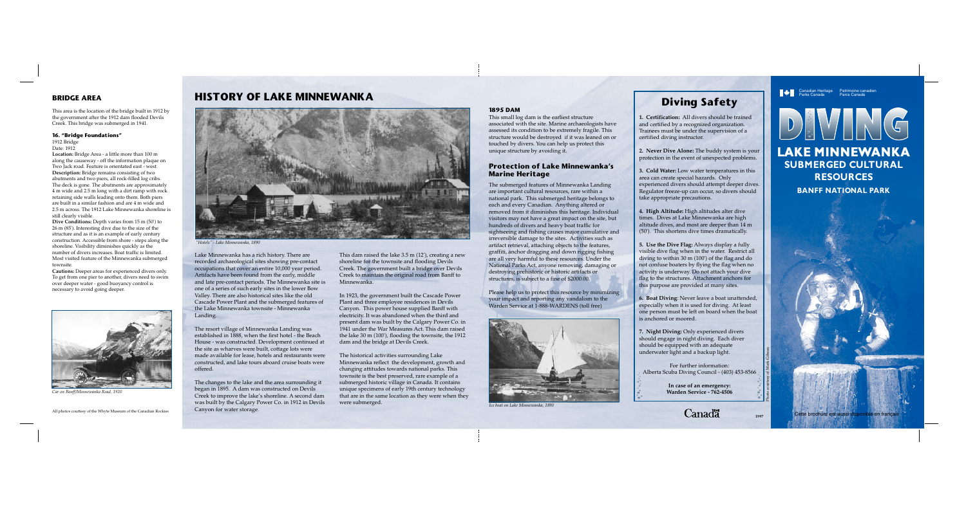Canadian Heritage Patrimoine canadien Parks Canada Parcs Canada

DEVIN



**Canadä** 

Lake Minnewanka has a rich history. There are recorded archaeological sites showing pre-contact occupations that cover an entire 10,000 year period. Artifacts have been found from the early, middle and late pre-contact periods. The Minnewanka site is one of a series of such early sites in the lower Bow Valley. There are also historical sites like the old Cascade Power Plant and the submerged features of the Lake Minnewanka townsite - Minnewanka Landing.

The resort village of Minnewanka Landing was established in 1888, when the first hotel - the Beach House - was constructed. Development continued at the site as wharves were built, cottage lots were made available for lease, hotels and restaurants were constructed, and lake tours aboard cruise boats were offered.

The changes to the lake and the area surrounding it began in 1895. A dam was constructed on Devils Creek to improve the lake's shoreline. A second dam was built by the Calgary Power Co. in 1912 in Devils Canyon for water storage.

This dam raised the lake 3.5 m (12'), creating a new shoreline for the townsite and flooding Devils Creek. The government built a bridge over Devils Creek to maintain the original road from Banff to Minnewanka.

In 1923, the government built the Cascade Power Plant and three employee residences in Devils Canyon. This power house supplied Banff with electricity. It was abandoned when the third and present dam was built by the Calgary Power Co. in 1941 under the War Measures Act. This dam raised the lake 30 m (100'), flooding the townsite, the 1912 dam and the bridge at Devils Creek.

The historical activities surrounding Lake Minnewanka reflect the development, growth and changing attitudes towards national parks. This townsite is the best preserved, rare example of a submerged historic village in Canada. It contains unique specimens of early 19th century technology that are in the same location as they were when they were submerged.

#### **1895 DAM**

This small log dam is the earliest structure associated with the site. Marine archaeologists have assessed its condition to be extremely fragile. This structure would be destroyed if it was leaned on or touched by divers. You can help us protect this unique structure by avoiding it.

## **Protection of Lake Minnewanka's Marine Heritage**

**Dive Conditions:** Depth varies from 15 m (50') to 26 m (85'). Interesting dive due to the size of the structure and as it is an example of early century construction. Accessible from shore - steps along the shoreline. Visibility diminishes quickly as the number of divers increases. Boat traffic is limited. Most visited feature of the Minnewanka submerged townsite

The submerged features of Minnewanka Landing are important cultural resources, rare within a national park. This submerged heritage belongs to each and every Canadian. Anything altered or removed from it diminishes this heritage. Individual visitors may not have a great impact on the site, but hundreds of divers and heavy boat traffic for sightseeing and fishing causes major cumulative and irreversible damage to the sites. Activities such as artifact retrieval, attaching objects to the features, graffiti, anchor dragging and down rigging fishing are all very harmful to these resources. Under the National Parks Act, anyone removing, damaging or destroying prehistoric or historic artifacts or structures, is subject to a fine of \$2000.00.

Please help us to protect this resource by minimizing your impact and reporting any vandalism to the Warden Service at 1-888-WARDENS (toll free)

**Diving Safety**

**1. Certification:** All divers should be trained and certified by a recognized organization. Trainees must be under the supervision of a certified diving instructor.

**2. Never Dive Alone:** The buddy system is your protection in the event of unexpected problems.

**3. Cold Water:** Low water temperatures in this area can create special hazards. Only experienced divers should attempt deeper dives. Regulator freeze-up can occur, so divers should take appropriate precautions.

**4. High Altitude:** High altitudes alter dive times. Dives at Lake Minnewanka are high altitude dives, and most are deeper than 14 m (50'). This shortens dive times dramatically.

**5. Use the Dive Flag:** Always display a fully visible dive flag when in the water. Restrict all diving to within 30 m (100') of the flag and do not confuse boaters by flying the flag when no activity is underway. Do not attach your dive flag to the structures. Attachment anchors for this purpose are provided at many sites.

**6. Boat Diving**: Never leave a boat unattended, especially when it is used for diving. At least one person must be left on board when the boat is anchored or moored.

**7. Night Diving:** Only experienced divers should engage in night diving. Each diver should be equipped with an adequate underwater light and a backup light.

For further information: Alberta Scuba Diving Council - (403) 453-8566

> **In case of an emergency: Warden Service - 762-4506**

## **BRIDGE AREA**

This area is the location of the bridge built in 1912 by the government after the 1912 dam flooded Devils Creek. This bridge was submerged in 1941.

## **16. "Bridge Foundations"**

1912 Bridge Date: 1912

**Location:** Bridge Area - a little more than 100 m along the causeway - off the information plaque on Two Jack road. Feature is orientated east - west. **Description:** Bridge remains consisting of two abutments and two piers, all rock-filled log cribs. The deck is gone. The abutments are approximately 4 m wide and 2.5 m long with a dirt ramp with rock retaining side walls leading onto them. Both piers are built in a similar fashion and are 4 m wide and 2.5 m across. The 1912 Lake Minnewanka shoreline is still clearly visible.

**Cautions:** Deeper areas for experienced divers only. To get from one pier to another, divers need to swim over deeper water - good buoyancy control is necessary to avoid going deeper.

**LAKE MINNEWANKA SUBMERGED CULTURAL RESOURCES**

**BANFF NATIONAL PARK**

# **HISTORY OF LAKE MINNEWANKA**



*Car on Banff/Minnewanka Road, 1920*



*"Hotels" - Lake Minnewanka, 1890*



*Ice boat on Lake Minnewanka, 1890*

Photo courtesy of Mark Gibeau